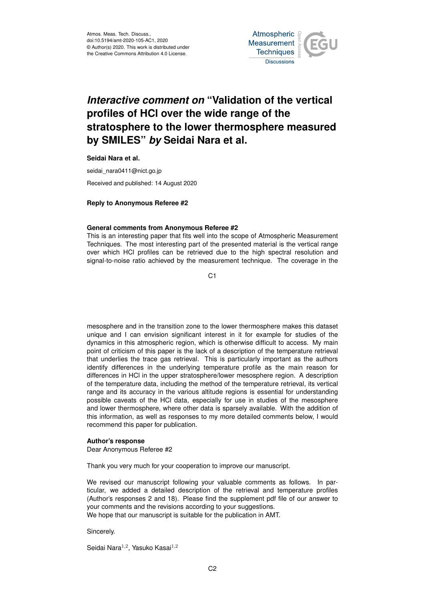

## *Interactive comment on* **"Validation of the vertical profiles of HCl over the wide range of the stratosphere to the lower thermosphere measured by SMILES"** *by* **Seidai Nara et al.**

**Seidai Nara et al.**

seidai\_nara0411@nict.go.jp

Received and published: 14 August 2020

## **Reply to Anonymous Referee #2**

## **General comments from Anonymous Referee #2**

This is an interesting paper that fits well into the scope of Atmospheric Measurement Techniques. The most interesting part of the presented material is the vertical range over which HCl profiles can be retrieved due to the high spectral resolution and signal-to-noise ratio achieved by the measurement technique. The coverage in the

 $C<sub>1</sub>$ 

mesosphere and in the transition zone to the lower thermosphere makes this dataset unique and I can envision significant interest in it for example for studies of the dynamics in this atmospheric region, which is otherwise difficult to access. My main point of criticism of this paper is the lack of a description of the temperature retrieval that underlies the trace gas retrieval. This is particularly important as the authors identify differences in the underlying temperature profile as the main reason for differences in HCl in the upper stratosphere/lower mesosphere region. A description of the temperature data, including the method of the temperature retrieval, its vertical range and its accuracy in the various altitude regions is essential for understanding possible caveats of the HCl data, especially for use in studies of the mesosphere and lower thermosphere, where other data is sparsely available. With the addition of this information, as well as responses to my more detailed comments below, I would recommend this paper for publication.

## **Author's response**

Dear Anonymous Referee #2

Thank you very much for your cooperation to improve our manuscript.

We revised our manuscript following your valuable comments as follows. In particular, we added a detailed description of the retrieval and temperature profiles (Author's responses 2 and 18). Please find the supplement pdf file of our answer to your comments and the revisions according to your suggestions. We hope that our manuscript is suitable for the publication in AMT.

Sincerely.

Seidai Nara $^{1,2}$ , Yasuko Kasai $^{1,2}$